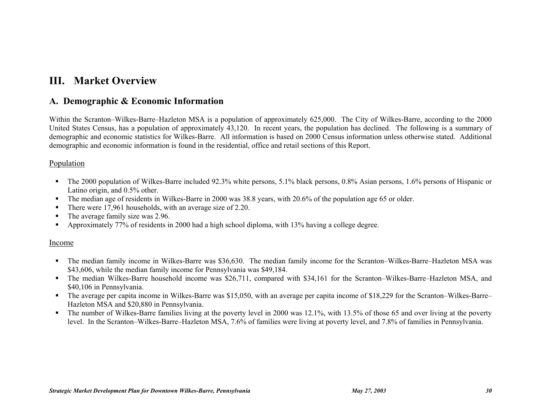# **III. Market Overview**

## **A. Demographic & Economic Information**

Within the Scranton–Wilkes-Barre–Hazleton MSA is a population of approximately 625,000. The City of Wilkes-Barre, according to the 2000 United States Census, has a population of approximately 43,120. In recent years, the population has declined. The following is a summary of demographic and economic statistics for Wilkes-Barre. All information is based on 2000 Census information unless otherwise stated. Additional demographic and economic information is found in the residential, office and retail sections of this Report.

## Population

- The 2000 population of Wilkes-Barre included 92.3% white persons, 5.1% black persons, 0.8% Asian persons, 1.6% persons of Hispanic or Latino origin, and 0.5% other.
- The median age of residents in Wilkes-Barre in 2000 was 38.8 years, with 20.6% of the population age 65 or older.
- There were 17,961 households, with an average size of 2.20.
- The average family size was 2.96.
- Approximately 77% of residents in 2000 had a high school diploma, with 13% having a college degree.

## Income

- The median family income in Wilkes-Barre was \$36,630. The median family income for the Scranton–Wilkes-Barre–Hazleton MSA was \$43,606, while the median family income for Pennsylvania was \$49,184.
- The median Wilkes-Barre household income was \$26,711, compared with \$34,161 for the Scranton–Wilkes-Barre–Hazleton MSA, and \$40,106 in Pennsylvania.
- The average per capita income in Wilkes-Barre was \$15,050, with an average per capita income of \$18,229 for the Scranton–Wilkes-Barre– Hazleton MSA and \$20,880 in Pennsylvania.
- The number of Wilkes-Barre families living at the poverty level in 2000 was 12.1%, with 13.5% of those 65 and over living at the poverty level. In the Scranton–Wilkes-Barre–Hazleton MSA, 7.6% of families were living at poverty level, and 7.8% of families in Pennsylvania.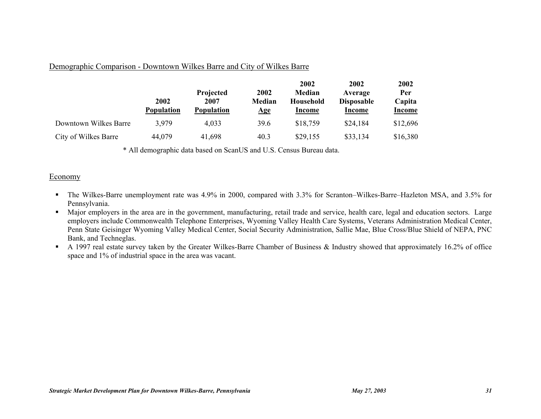## Demographic Comparison - Downtown Wilkes Barre and City of Wilkes Barre

|                       | 2002<br><b>Population</b> | Projected<br>2007<br><b>Population</b> | 2002<br>Median<br>$\mathbf{Age}$ | 2002<br>Median<br><b>Household</b><br>Income | 2002<br>Average<br><b>Disposable</b><br>Income | 2002<br>Per<br>Capita<br><b>Income</b> |
|-----------------------|---------------------------|----------------------------------------|----------------------------------|----------------------------------------------|------------------------------------------------|----------------------------------------|
| Downtown Wilkes Barre | 3,979                     | 4,033                                  | 39.6                             | \$18,759                                     | \$24,184                                       | \$12,696                               |
| City of Wilkes Barre  | 44,079                    | 41,698                                 | 40.3                             | \$29,155                                     | \$33,134                                       | \$16,380                               |

\* All demographic data based on ScanUS and U.S. Census Bureau data.

## Economy

- The Wilkes-Barre unemployment rate was 4.9% in 2000, compared with 3.3% for Scranton–Wilkes-Barre–Hazleton MSA, and 3.5% for Pennsylvania.
- Major employers in the area are in the government, manufacturing, retail trade and service, health care, legal and education sectors. Large employers include Commonwealth Telephone Enterprises, Wyoming Valley Health Care Systems, Veterans Administration Medical Center, Penn State Geisinger Wyoming Valley Medical Center, Social Security Administration, Sallie Mae, Blue Cross/Blue Shield of NEPA, PNC Bank, and Techneglas.
- A 1997 real estate survey taken by the Greater Wilkes-Barre Chamber of Business & Industry showed that approximately 16.2% of office space and 1% of industrial space in the area was vacant.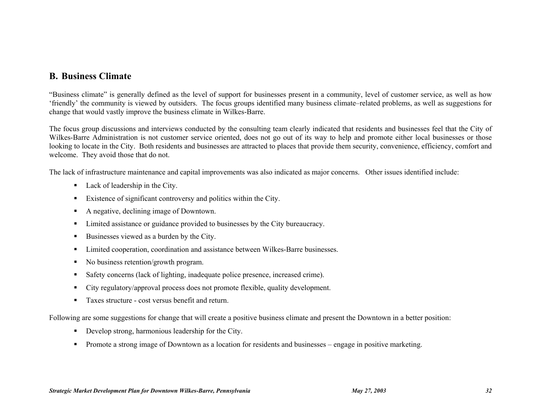## **B. Business Climate**

"Business climate" is generally defined as the level of support for businesses present in a community, level of customer service, as well as how 'friendly' the community is viewed by outsiders. The focus groups identified many business climate–related problems, as well as suggestions for change that would vastly improve the business climate in Wilkes-Barre.

The focus group discussions and interviews conducted by the consulting team clearly indicated that residents and businesses feel that the City of Wilkes-Barre Administration is not customer service oriented, does not go out of its way to help and promote either local businesses or those looking to locate in the City. Both residents and businesses are attracted to places that provide them security, convenience, efficiency, comfort and welcome. They avoid those that do not.

The lack of infrastructure maintenance and capital improvements was also indicated as major concerns. Other issues identified include:

- Lack of leadership in the City.
- Existence of significant controversy and politics within the City.
- A negative, declining image of Downtown.
- Limited assistance or guidance provided to businesses by the City bureaucracy.
- Businesses viewed as a burden by the City.
- Limited cooperation, coordination and assistance between Wilkes-Barre businesses.
- No business retention/growth program.
- Safety concerns (lack of lighting, inadequate police presence, increased crime).
- City regulatory/approval process does not promote flexible, quality development.
- Taxes structure cost versus benefit and return.

Following are some suggestions for change that will create a positive business climate and present the Downtown in a better position:

- Develop strong, harmonious leadership for the City.
- Promote a strong image of Downtown as a location for residents and businesses engage in positive marketing.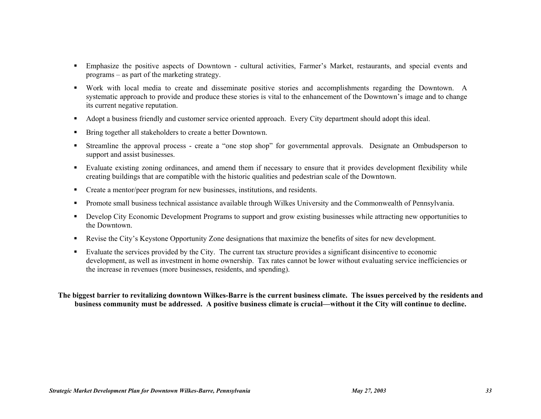- Emphasize the positive aspects of Downtown cultural activities, Farmer's Market, restaurants, and special events and programs – as part of the marketing strategy.
- Work with local media to create and disseminate positive stories and accomplishments regarding the Downtown. A systematic approach to provide and produce these stories is vital to the enhancement of the Downtown's image and to change its current negative reputation.
- Adopt a business friendly and customer service oriented approach. Every City department should adopt this ideal.
- **Bring together all stakeholders to create a better Downtown.**
- Streamline the approval process create a "one stop shop" for governmental approvals. Designate an Ombudsperson to support and assist businesses.
- Evaluate existing zoning ordinances, and amend them if necessary to ensure that it provides development flexibility while creating buildings that are compatible with the historic qualities and pedestrian scale of the Downtown.
- Create a mentor/peer program for new businesses, institutions, and residents.
- Promote small business technical assistance available through Wilkes University and the Commonwealth of Pennsylvania.
- Develop City Economic Development Programs to support and grow existing businesses while attracting new opportunities to the Downtown.
- Revise the City's Keystone Opportunity Zone designations that maximize the benefits of sites for new development.
- Evaluate the services provided by the City. The current tax structure provides a significant disincentive to economic development, as well as investment in home ownership. Tax rates cannot be lower without evaluating service inefficiencies or the increase in revenues (more businesses, residents, and spending).

## **The biggest barrier to revitalizing downtown Wilkes-Barre is the current business climate. The issues perceived by the residents and business community must be addressed. A positive business climate is crucial—without it the City will continue to decline.**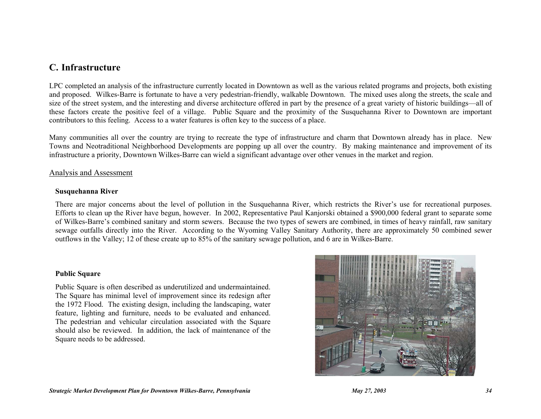## **C. Infrastructure**

LPC completed an analysis of the infrastructure currently located in Downtown as well as the various related programs and projects, both existing and proposed. Wilkes-Barre is fortunate to have a very pedestrian-friendly, walkable Downtown. The mixed uses along the streets, the scale and size of the street system, and the interesting and diverse architecture offered in part by the presence of a great variety of historic buildings—all of these factors create the positive feel of a village. Public Square and the proximity of the Susquehanna River to Downtown are important contributors to this feeling. Access to a water features is often key to the success of a place.

Many communities all over the country are trying to recreate the type of infrastructure and charm that Downtown already has in place. New Towns and Neotraditional Neighborhood Developments are popping up all over the country. By making maintenance and improvement of its infrastructure a priority, Downtown Wilkes-Barre can wield a significant advantage over other venues in the market and region.

## Analysis and Assessment

## **Susquehanna River**

There are major concerns about the level of pollution in the Susquehanna River, which restricts the River's use for recreational purposes. Efforts to clean up the River have begun, however. In 2002, Representative Paul Kanjorski obtained a \$900,000 federal grant to separate some of Wilkes-Barre's combined sanitary and storm sewers. Because the two types of sewers are combined, in times of heavy rainfall, raw sanitary sewage outfalls directly into the River. According to the Wyoming Valley Sanitary Authority, there are approximately 50 combined sewer outflows in the Valley; 12 of these create up to 85% of the sanitary sewage pollution, and 6 are in Wilkes-Barre.

## **Public Square**

Public Square is often described as underutilized and undermaintained. The Square has minimal level of improvement since its redesign after the 1972 Flood. The existing design, including the landscaping, water feature, lighting and furniture, needs to be evaluated and enhanced. The pedestrian and vehicular circulation associated with the Square should also be reviewed. In addition, the lack of maintenance of the Square needs to be addressed.

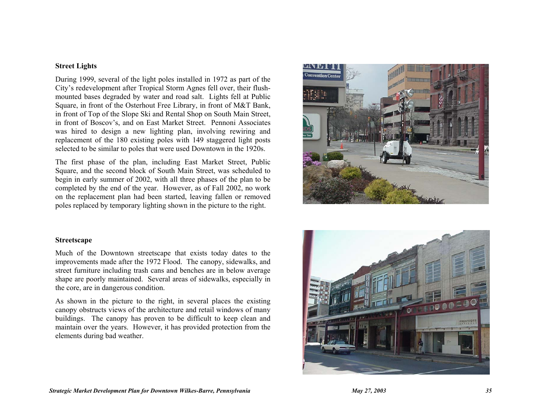## **Street Lights**

During 1999, several of the light poles installed in 1972 as part of the City's redevelopment after Tropical Storm Agnes fell over, their flushmounted bases degraded by water and road salt. Lights fell at Public Square, in front of the Osterhout Free Library, in front of M&T Bank, in front of Top of the Slope Ski and Rental Shop on South Main Street, in front of Boscov's, and on East Market Street. Pennoni Associates was hired to design a new lighting plan, involving rewiring and replacement of the 180 existing poles with 149 staggered light posts selected to be similar to poles that were used Downtown in the 1920s.

The first phase of the plan, including East Market Street, Public Square, and the second block of South Main Street, was scheduled to begin in early summer of 2002, with all three phases of the plan to be completed by the end of the year. However, as of Fall 2002, no work on the replacement plan had been started, leaving fallen or removed poles replaced by temporary lighting shown in the picture to the right.



#### **Streetscape**

Much of the Downtown streetscape that exists today dates to the improvements made after the 1972 Flood. The canopy, sidewalks, and street furniture including trash cans and benches are in below average shape are poorly maintained. Several areas of sidewalks, especially in the core, are in dangerous condition.

As shown in the picture to the right, in several places the existing canopy obstructs views of the architecture and retail windows of many buildings. The canopy has proven to be difficult to keep clean and maintain over the years. However, it has provided protection from the elements during bad weather.

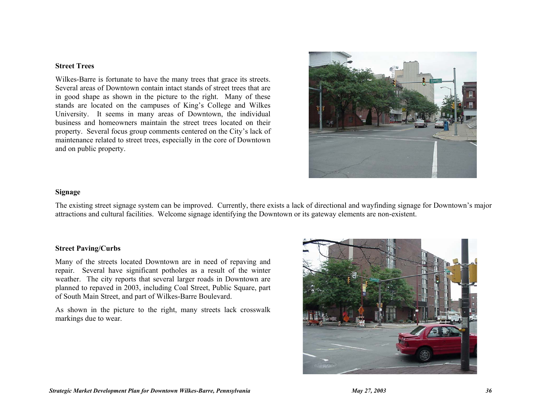#### **Street Trees**

Wilkes-Barre is fortunate to have the many trees that grace its streets. Several areas of Downtown contain intact stands of street trees that are in good shape as shown in the picture to the right. Many of these stands are located on the campuses of King's College and Wilkes University. It seems in many areas of Downtown, the individual business and homeowners maintain the street trees located on their property. Several focus group comments centered on the City's lack of maintenance related to street trees, especially in the core of Downtown and on public property.



## **Signage**

The existing street signage system can be improved. Currently, there exists a lack of directional and wayfinding signage for Downtown's major attractions and cultural facilities. Welcome signage identifying the Downtown or its gateway elements are non-existent.

## **Street Paving/Curbs**

Many of the streets located Downtown are in need of repaving and repair. Several have significant potholes as a result of the winter weather. The city reports that several larger roads in Downtown are planned to repaved in 2003, including Coal Street, Public Square, part of South Main Street, and part of Wilkes-Barre Boulevard.

As shown in the picture to the right, many streets lack crosswalk markings due to wear.

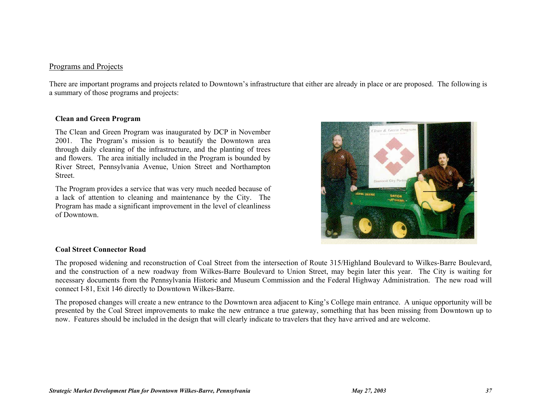## Programs and Projects

There are important programs and projects related to Downtown's infrastructure that either are already in place or are proposed. The following is a summary of those programs and projects:

## **Clean and Green Program**

The Clean and Green Program was inaugurated by DCP in November 2001. The Program's mission is to beautify the Downtown area through daily cleaning of the infrastructure, and the planting of trees and flowers. The area initially included in the Program is bounded by River Street, Pennsylvania Avenue, Union Street and Northampton Street.

The Program provides a service that was very much needed because of a lack of attention to cleaning and maintenance by the City. The Program has made a significant improvement in the level of cleanliness of Downtown.



## **Coal Street Connector Road**

The proposed widening and reconstruction of Coal Street from the intersection of Route 315/Highland Boulevard to Wilkes-Barre Boulevard, and the construction of a new roadway from Wilkes-Barre Boulevard to Union Street, may begin later this year. The City is waiting for necessary documents from the Pennsylvania Historic and Museum Commission and the Federal Highway Administration. The new road will connect I-81, Exit 146 directly to Downtown Wilkes-Barre.

The proposed changes will create a new entrance to the Downtown area adjacent to King's College main entrance. A unique opportunity will be presented by the Coal Street improvements to make the new entrance a true gateway, something that has been missing from Downtown up to now. Features should be included in the design that will clearly indicate to travelers that they have arrived and are welcome.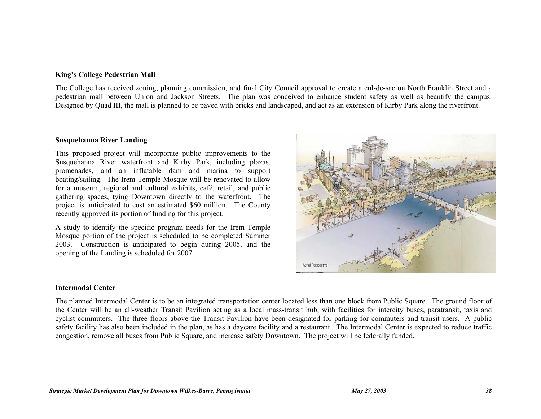## **King's College Pedestrian Mall**

The College has received zoning, planning commission, and final City Council approval to create a cul-de-sac on North Franklin Street and a pedestrian mall between Union and Jackson Streets. The plan was conceived to enhance student safety as well as beautify the campus. Designed by Quad III, the mall is planned to be paved with bricks and landscaped, and act as an extension of Kirby Park along the riverfront.

## **Susquehanna River Landing**

This proposed project will incorporate public improvements to the Susquehanna River waterfront and Kirby Park, including plazas, promenades, and an inflatable dam and marina to support boating/sailing. The Irem Temple Mosque will be renovated to allow for a museum, regional and cultural exhibits, café, retail, and public gathering spaces, tying Downtown directly to the waterfront. The project is anticipated to cost an estimated \$60 million. The County recently approved its portion of funding for this project.

A study to identify the specific program needs for the Irem Temple Mosque portion of the project is scheduled to be completed Summer 2003. Construction is anticipated to begin during 2005, and the opening of the Landing is scheduled for 2007.



## **Intermodal Center**

The planned Intermodal Center is to be an integrated transportation center located less than one block from Public Square. The ground floor of the Center will be an all-weather Transit Pavilion acting as a local mass-transit hub, with facilities for intercity buses, paratransit, taxis and cyclist commuters. The three floors above the Transit Pavilion have been designated for parking for commuters and transit users. A public safety facility has also been included in the plan, as has a daycare facility and a restaurant. The Intermodal Center is expected to reduce traffic congestion, remove all buses from Public Square, and increase safety Downtown. The project will be federally funded.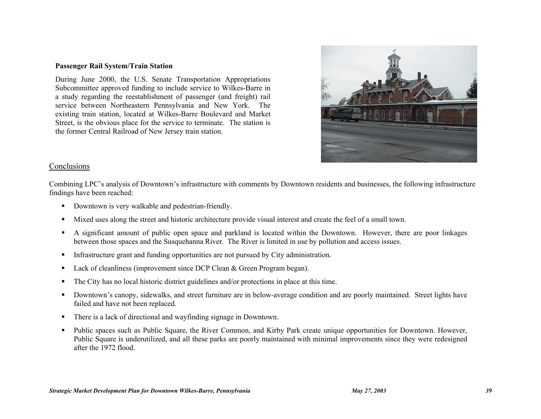#### **Passenger Rail System/Train Station**

During June 2000, the U.S. Senate Transportation Appropriations Subcommittee approved funding to include service to Wilkes-Barre in a study regarding the reestablishment of passenger (and freight) rail service between Northeastern Pennsylvania and New York. The existing train station, located at Wilkes-Barre Boulevard and Market Street, is the obvious place for the service to terminate. The station is the former Central Railroad of New Jersey train station.



## Conclusions

Combining LPC's analysis of Downtown's infrastructure with comments by Downtown residents and businesses, the following infrastructure findings have been reached:

- Downtown is very walkable and pedestrian-friendly.
- Mixed uses along the street and historic architecture provide visual interest and create the feel of a small town.
- A significant amount of public open space and parkland is located within the Downtown. However, there are poor linkages between those spaces and the Susquehanna River. The River is limited in use by pollution and access issues.
- Infrastructure grant and funding opportunities are not pursued by City administration.
- Lack of cleanliness (improvement since DCP Clean & Green Program began).
- The City has no local historic district guidelines and/or protections in place at this time.
- Downtown's canopy, sidewalks, and street furniture are in below-average condition and are poorly maintained. Street lights have failed and have not been replaced.
- There is a lack of directional and wayfinding signage in Downtown.
- Public spaces such as Public Square, the River Common, and Kirby Park create unique opportunities for Downtown. However, Public Square is underutilized, and all these parks are poorly maintained with minimal improvements since they were redesigned after the 1972 flood.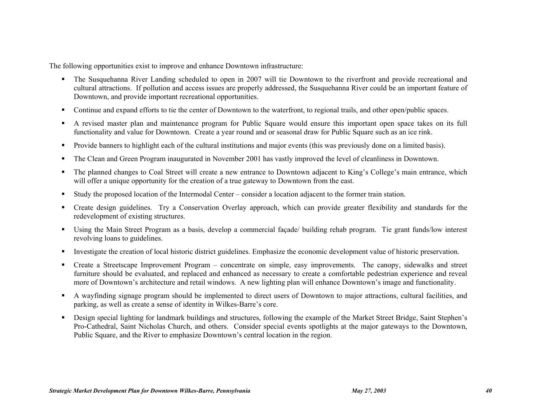The following opportunities exist to improve and enhance Downtown infrastructure:

- The Susquehanna River Landing scheduled to open in 2007 will tie Downtown to the riverfront and provide recreational and cultural attractions. If pollution and access issues are properly addressed, the Susquehanna River could be an important feature of Downtown, and provide important recreational opportunities.
- Continue and expand efforts to tie the center of Downtown to the waterfront, to regional trails, and other open/public spaces.
- A revised master plan and maintenance program for Public Square would ensure this important open space takes on its full functionality and value for Downtown. Create a year round and or seasonal draw for Public Square such as an ice rink.
- Provide banners to highlight each of the cultural institutions and major events (this was previously done on a limited basis).
- The Clean and Green Program inaugurated in November 2001 has vastly improved the level of cleanliness in Downtown.
- The planned changes to Coal Street will create a new entrance to Downtown adjacent to King's College's main entrance, which will offer a unique opportunity for the creation of a true gateway to Downtown from the east.
- Study the proposed location of the Intermodal Center consider a location adjacent to the former train station.
- Create design guidelines. Try a Conservation Overlay approach, which can provide greater flexibility and standards for the redevelopment of existing structures.
- Using the Main Street Program as a basis, develop a commercial façade/ building rehab program. Tie grant funds/low interest revolving loans to guidelines.
- Investigate the creation of local historic district guidelines. Emphasize the economic development value of historic preservation.
- Create a Streetscape Improvement Program concentrate on simple, easy improvements. The canopy, sidewalks and street furniture should be evaluated, and replaced and enhanced as necessary to create a comfortable pedestrian experience and reveal more of Downtown's architecture and retail windows. A new lighting plan will enhance Downtown's image and functionality.
- A wayfinding signage program should be implemented to direct users of Downtown to major attractions, cultural facilities, and parking, as well as create a sense of identity in Wilkes-Barre's core.
- Design special lighting for landmark buildings and structures, following the example of the Market Street Bridge, Saint Stephen's Pro-Cathedral, Saint Nicholas Church, and others. Consider special events spotlights at the major gateways to the Downtown, Public Square, and the River to emphasize Downtown's central location in the region.